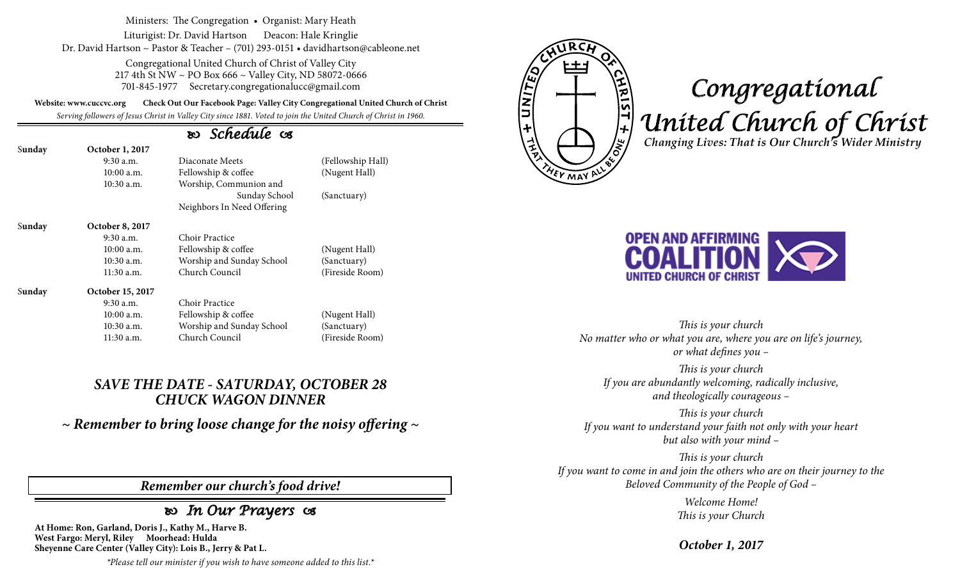Ministers: The Congregation • Organist: Mary Heath

Liturigist: Dr. David Hartson Deacon: Hale Kringlie Dr. David Hartson ~ Pastor & Teacher – (701) 293-0151 • davidhartson@cableone.net

> Congregational United Church of Christ of Valley City 217 4th St NW ~ PO Box 666 ~ Valley City, ND 58072-0666 701-845-1977 Secretary.congregationalucc@gmail.com

**Website: www.cuccvc.org Check Out Our Facebook Page: Valley City Congregational United Church of Christ**

*Serving followers of Jesus Christ in Valley City since 1881. Voted to join the United Church of Christ in 1960.*

### *Schedule*

| Sunday | October 1, 2017        |                            |                   |
|--------|------------------------|----------------------------|-------------------|
|        | $9:30$ a.m.            | Diaconate Meets            | (Fellowship Hall) |
|        | $10:00$ a.m.           | Fellowship & coffee        | (Nugent Hall)     |
|        | $10:30$ a.m.           | Worship, Communion and     |                   |
|        |                        | Sunday School              | (Sanctuary)       |
|        |                        | Neighbors In Need Offering |                   |
| Sunday | <b>October 8, 2017</b> |                            |                   |
|        | $9:30$ a.m.            | Choir Practice             |                   |
|        | 10:00a.m.              | Fellowship & coffee        | (Nugent Hall)     |
|        | $10:30$ a.m.           | Worship and Sunday School  | (Sanctuary)       |
|        | 11:30 a.m.             | Church Council             | (Fireside Room)   |
| Sunday | October 15, 2017       |                            |                   |
|        | $9:30$ a.m.            | Choir Practice             |                   |
|        | $10:00$ a.m.           | Fellowship & coffee        | (Nugent Hall)     |
|        | $10:30$ a.m.           | Worship and Sunday School  | (Sanctuary)       |
|        | 11:30 a.m.             | Church Council             | (Fireside Room)   |

#### *SAVE THE DATE - SATURDAY, OCTOBER 28 CHUCK WAGON DINNER*

*~ Remember to bring loose change for the noisy offering ~*

#### *Remember our church's food drive!*

## *In Our Prayers*

**At Home: Ron, Garland, Doris J., Kathy M., Harve B. West Fargo: Meryl, Riley Moorhead: Hulda Sheyenne Care Center (Valley City): Lois B., Jerry & Pat L.**

*\*Please tell our minister if you wish to have someone added to this list.\**



# *Congregational United Church of Christ Changing Lives: That is Our Church's Wider Ministry*



*This is your church No matter who or what you are, where you are on life's journey, or what defines you –*

*This is your church If you are abundantly welcoming, radically inclusive, and theologically courageous –*

*This is your church If you want to understand your faith not only with your heart but also with your mind –*

*This is your church If you want to come in and join the others who are on their journey to the Beloved Community of the People of God –*

> *Welcome Home! This is your Church*

*October 1, 2017*